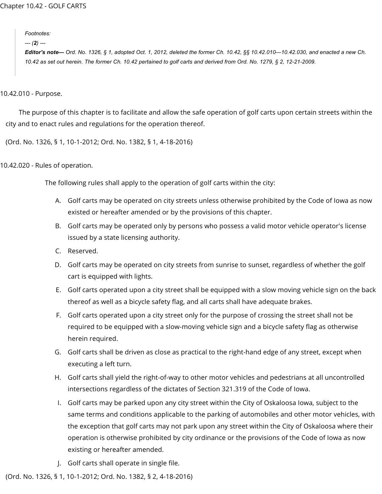*Footnotes:*

*--- (2) ---*

Editor's note— Ord. No. 1326, § 1, adopted Oct. 1, 2012, deleted the former Ch. 10.42, §§ 10.42.010—10.42.030, and enacted a new Ch. 10.42 as set out herein. The former Ch. 10.42 pertained to golf carts and derived from Ord. No. 1279, § 2, 12-21-2009.

10.42.010 - Purpose.

The purpose of this chapter is to facilitate and allow the safe operation of golf carts upon certain streets within the city and to enact rules and regulations for the operation thereof.

(Ord. No. 1326, § 1, 10-1-2012; Ord. No. 1382, § 1, 4-18-2016)

10.42.020 - Rules of operation.

The following rules shall apply to the operation of golf carts within the city:

- A. Golf carts may be operated on city streets unless otherwise prohibited by the Code of Iowa as now existed or hereafter amended or by the provisions of this chapter.
- B. Golf carts may be operated only by persons who possess a valid motor vehicle operator's license issued by a state licensing authority.
- C. Reserved.
- D. Golf carts may be operated on city streets from sunrise to sunset, regardless of whether the golf cart is equipped with lights.
- E. Golf carts operated upon a city street shall be equipped with a slow moving vehicle sign on the back thereof as well as a bicycle safety flag, and all carts shall have adequate brakes.
- F. Golf carts operated upon a city street only for the purpose of crossing the street shall not be required to be equipped with a slow-moving vehicle sign and a bicycle safety flag as otherwise herein required.
- G. Golf carts shall be driven as close as practical to the right-hand edge of any street, except when executing a left turn.
- H. Golf carts shall yield the right-of-way to other motor vehicles and pedestrians at all uncontrolled intersections regardless of the dictates of Section 321.319 of the Code of Iowa.
- I. Golf carts may be parked upon any city street within the City of Oskaloosa Iowa, subject to the same terms and conditions applicable to the parking of automobiles and other motor vehicles, with the exception that golf carts may not park upon any street within the City of Oskaloosa where their operation is otherwise prohibited by city ordinance or the provisions of the Code of Iowa as now existing or hereafter amended.
- J. Golf carts shall operate in single file.